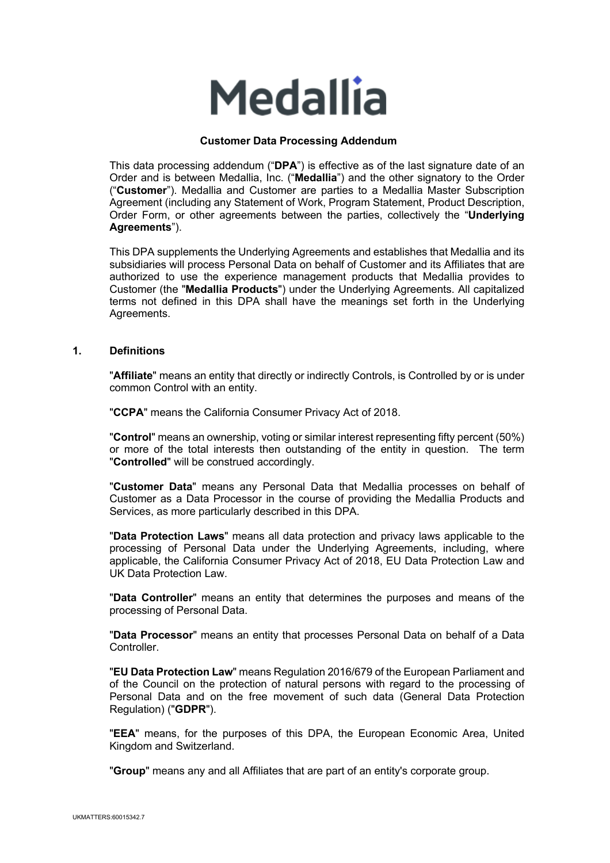

### **Customer Data Processing Addendum**

This data processing addendum ("**DPA**") is effective as of the last signature date of an Order and is between Medallia, Inc. ("**Medallia**") and the other signatory to the Order ("**Customer**"). Medallia and Customer are parties to a Medallia Master Subscription Agreement (including any Statement of Work, Program Statement, Product Description, Order Form, or other agreements between the parties, collectively the "**Underlying Agreements**").

This DPA supplements the Underlying Agreements and establishes that Medallia and its subsidiaries will process Personal Data on behalf of Customer and its Affiliates that are authorized to use the experience management products that Medallia provides to Customer (the "**Medallia Products**") under the Underlying Agreements. All capitalized terms not defined in this DPA shall have the meanings set forth in the Underlying Agreements.

#### **1. Definitions**

"**Affiliate**" means an entity that directly or indirectly Controls, is Controlled by or is under common Control with an entity.

"**CCPA**" means the California Consumer Privacy Act of 2018.

"**Control**" means an ownership, voting or similar interest representing fifty percent (50%) or more of the total interests then outstanding of the entity in question. The term "**Controlled**" will be construed accordingly.

"**Customer Data**" means any Personal Data that Medallia processes on behalf of Customer as a Data Processor in the course of providing the Medallia Products and Services, as more particularly described in this DPA.

"**Data Protection Laws**" means all data protection and privacy laws applicable to the processing of Personal Data under the Underlying Agreements, including, where applicable, the California Consumer Privacy Act of 2018, EU Data Protection Law and UK Data Protection Law.

"**Data Controller**" means an entity that determines the purposes and means of the processing of Personal Data.

"**Data Processor**" means an entity that processes Personal Data on behalf of a Data **Controller** 

"**EU Data Protection Law**" means Regulation 2016/679 of the European Parliament and of the Council on the protection of natural persons with regard to the processing of Personal Data and on the free movement of such data (General Data Protection Regulation) ("**GDPR**").

"**EEA**" means, for the purposes of this DPA, the European Economic Area, United Kingdom and Switzerland.

"**Group**" means any and all Affiliates that are part of an entity's corporate group.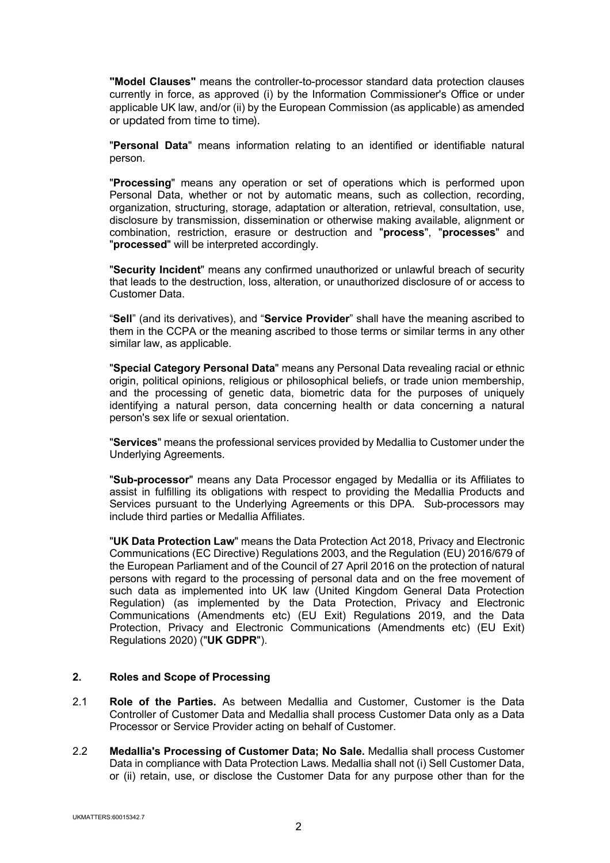**"Model Clauses"** means the controller-to-processor standard data protection clauses currently in force, as approved (i) by the Information Commissioner's Office or under applicable UK law, and/or (ii) by the European Commission (as applicable) as amended or updated from time to time).

"**Personal Data**" means information relating to an identified or identifiable natural person.

"**Processing**" means any operation or set of operations which is performed upon Personal Data, whether or not by automatic means, such as collection, recording, organization, structuring, storage, adaptation or alteration, retrieval, consultation, use, disclosure by transmission, dissemination or otherwise making available, alignment or combination, restriction, erasure or destruction and "**process**", "**processes**" and "**processed**" will be interpreted accordingly.

"**Security Incident**" means any confirmed unauthorized or unlawful breach of security that leads to the destruction, loss, alteration, or unauthorized disclosure of or access to Customer Data.

"**Sell**" (and its derivatives), and "**Service Provider**" shall have the meaning ascribed to them in the CCPA or the meaning ascribed to those terms or similar terms in any other similar law, as applicable.

"**Special Category Personal Data**" means any Personal Data revealing racial or ethnic origin, political opinions, religious or philosophical beliefs, or trade union membership, and the processing of genetic data, biometric data for the purposes of uniquely identifying a natural person, data concerning health or data concerning a natural person's sex life or sexual orientation.

"**Services**" means the professional services provided by Medallia to Customer under the Underlying Agreements.

"**Sub-processor**" means any Data Processor engaged by Medallia or its Affiliates to assist in fulfilling its obligations with respect to providing the Medallia Products and Services pursuant to the Underlying Agreements or this DPA. Sub-processors may include third parties or Medallia Affiliates.

"**UK Data Protection Law**" means the Data Protection Act 2018, Privacy and Electronic Communications (EC Directive) Regulations 2003, and the Regulation (EU) 2016/679 of the European Parliament and of the Council of 27 April 2016 on the protection of natural persons with regard to the processing of personal data and on the free movement of such data as implemented into UK law (United Kingdom General Data Protection Regulation) (as implemented by the Data Protection, Privacy and Electronic Communications (Amendments etc) (EU Exit) Regulations 2019, and the Data Protection, Privacy and Electronic Communications (Amendments etc) (EU Exit) Regulations 2020) ("**UK GDPR**").

#### **2. Roles and Scope of Processing**

- 2.1 **Role of the Parties.** As between Medallia and Customer, Customer is the Data Controller of Customer Data and Medallia shall process Customer Data only as a Data Processor or Service Provider acting on behalf of Customer.
- 2.2 **Medallia's Processing of Customer Data; No Sale.** Medallia shall process Customer Data in compliance with Data Protection Laws. Medallia shall not (i) Sell Customer Data, or (ii) retain, use, or disclose the Customer Data for any purpose other than for the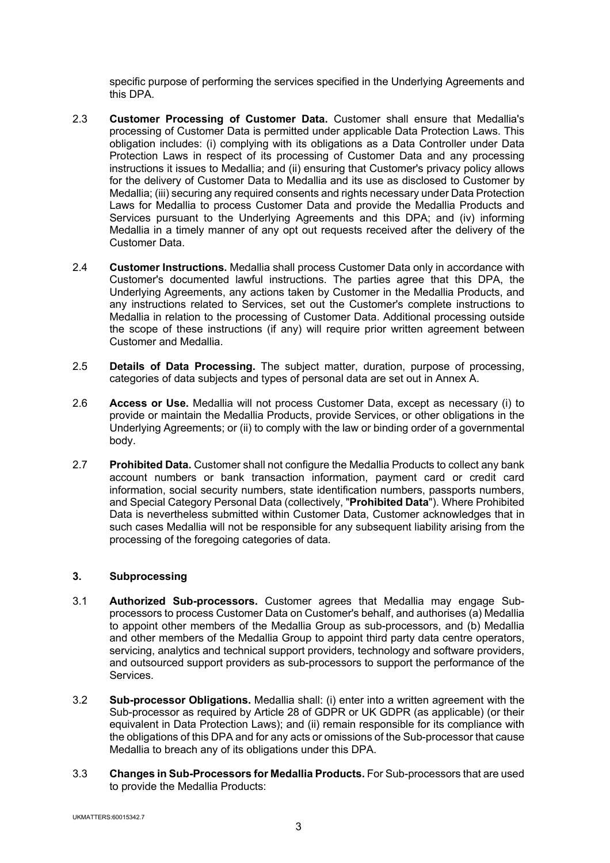specific purpose of performing the services specified in the Underlying Agreements and this DPA.

- 2.3 **Customer Processing of Customer Data.** Customer shall ensure that Medallia's processing of Customer Data is permitted under applicable Data Protection Laws. This obligation includes: (i) complying with its obligations as a Data Controller under Data Protection Laws in respect of its processing of Customer Data and any processing instructions it issues to Medallia; and (ii) ensuring that Customer's privacy policy allows for the delivery of Customer Data to Medallia and its use as disclosed to Customer by Medallia; (iii) securing any required consents and rights necessary under Data Protection Laws for Medallia to process Customer Data and provide the Medallia Products and Services pursuant to the Underlying Agreements and this DPA; and (iv) informing Medallia in a timely manner of any opt out requests received after the delivery of the Customer Data.
- 2.4 **Customer Instructions.** Medallia shall process Customer Data only in accordance with Customer's documented lawful instructions. The parties agree that this DPA, the Underlying Agreements, any actions taken by Customer in the Medallia Products, and any instructions related to Services, set out the Customer's complete instructions to Medallia in relation to the processing of Customer Data. Additional processing outside the scope of these instructions (if any) will require prior written agreement between Customer and Medallia.
- 2.5 **Details of Data Processing.** The subject matter, duration, purpose of processing, categories of data subjects and types of personal data are set out in Annex A.
- 2.6 **Access or Use.** Medallia will not process Customer Data, except as necessary (i) to provide or maintain the Medallia Products, provide Services, or other obligations in the Underlying Agreements; or (ii) to comply with the law or binding order of a governmental body.
- 2.7 **Prohibited Data.** Customer shall not configure the Medallia Products to collect any bank account numbers or bank transaction information, payment card or credit card information, social security numbers, state identification numbers, passports numbers, and Special Category Personal Data (collectively, "**Prohibited Data**"). Where Prohibited Data is nevertheless submitted within Customer Data, Customer acknowledges that in such cases Medallia will not be responsible for any subsequent liability arising from the processing of the foregoing categories of data.

## **3. Subprocessing**

- 3.1 **Authorized Sub-processors.** Customer agrees that Medallia may engage Subprocessors to process Customer Data on Customer's behalf, and authorises (a) Medallia to appoint other members of the Medallia Group as sub-processors, and (b) Medallia and other members of the Medallia Group to appoint third party data centre operators, servicing, analytics and technical support providers, technology and software providers, and outsourced support providers as sub-processors to support the performance of the Services.
- 3.2 **Sub-processor Obligations.** Medallia shall: (i) enter into a written agreement with the Sub-processor as required by Article 28 of GDPR or UK GDPR (as applicable) (or their equivalent in Data Protection Laws); and (ii) remain responsible for its compliance with the obligations of this DPA and for any acts or omissions of the Sub-processor that cause Medallia to breach any of its obligations under this DPA.
- 3.3 **Changes in Sub-Processors for Medallia Products.** For Sub-processors that are used to provide the Medallia Products: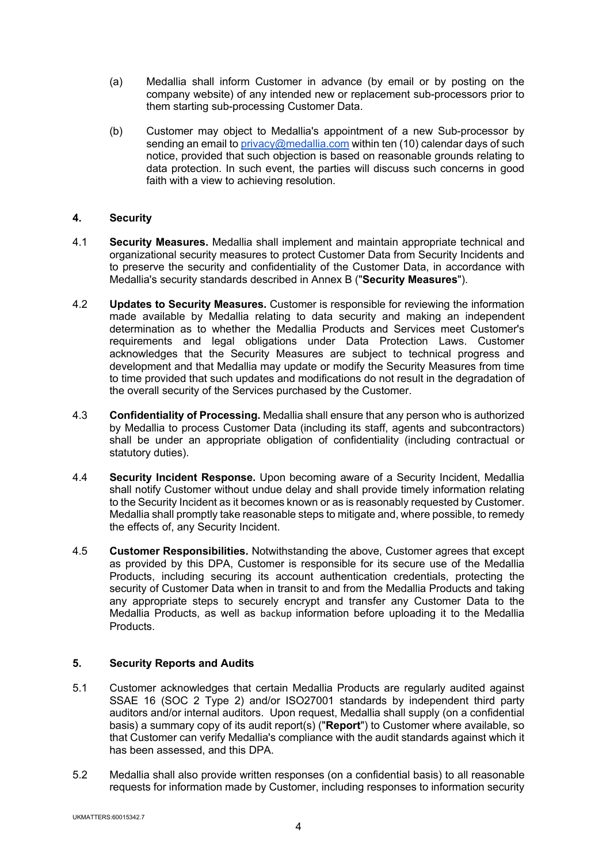- (a) Medallia shall inform Customer in advance (by email or by posting on the company website) of any intended new or replacement sub-processors prior to them starting sub-processing Customer Data.
- (b) Customer may object to Medallia's appointment of a new Sub-processor by sending an email to privacy@medallia.com within ten (10) calendar days of such notice, provided that such objection is based on reasonable grounds relating to data protection. In such event, the parties will discuss such concerns in good faith with a view to achieving resolution.

# **4. Security**

- 4.1 **Security Measures.** Medallia shall implement and maintain appropriate technical and organizational security measures to protect Customer Data from Security Incidents and to preserve the security and confidentiality of the Customer Data, in accordance with Medallia's security standards described in Annex B ("**Security Measures**").
- 4.2 **Updates to Security Measures.** Customer is responsible for reviewing the information made available by Medallia relating to data security and making an independent determination as to whether the Medallia Products and Services meet Customer's requirements and legal obligations under Data Protection Laws. Customer acknowledges that the Security Measures are subject to technical progress and development and that Medallia may update or modify the Security Measures from time to time provided that such updates and modifications do not result in the degradation of the overall security of the Services purchased by the Customer.
- 4.3 **Confidentiality of Processing.** Medallia shall ensure that any person who is authorized by Medallia to process Customer Data (including its staff, agents and subcontractors) shall be under an appropriate obligation of confidentiality (including contractual or statutory duties).
- 4.4 **Security Incident Response.** Upon becoming aware of a Security Incident, Medallia shall notify Customer without undue delay and shall provide timely information relating to the Security Incident as it becomes known or as is reasonably requested by Customer. Medallia shall promptly take reasonable steps to mitigate and, where possible, to remedy the effects of, any Security Incident.
- 4.5 **Customer Responsibilities.** Notwithstanding the above, Customer agrees that except as provided by this DPA, Customer is responsible for its secure use of the Medallia Products, including securing its account authentication credentials, protecting the security of Customer Data when in transit to and from the Medallia Products and taking any appropriate steps to securely encrypt and transfer any Customer Data to the Medallia Products, as well as backup information before uploading it to the Medallia Products.

# **5. Security Reports and Audits**

- 5.1 Customer acknowledges that certain Medallia Products are regularly audited against SSAE 16 (SOC 2 Type 2) and/or ISO27001 standards by independent third party auditors and/or internal auditors. Upon request, Medallia shall supply (on a confidential basis) a summary copy of its audit report(s) ("**Report**") to Customer where available, so that Customer can verify Medallia's compliance with the audit standards against which it has been assessed, and this DPA.
- 5.2 Medallia shall also provide written responses (on a confidential basis) to all reasonable requests for information made by Customer, including responses to information security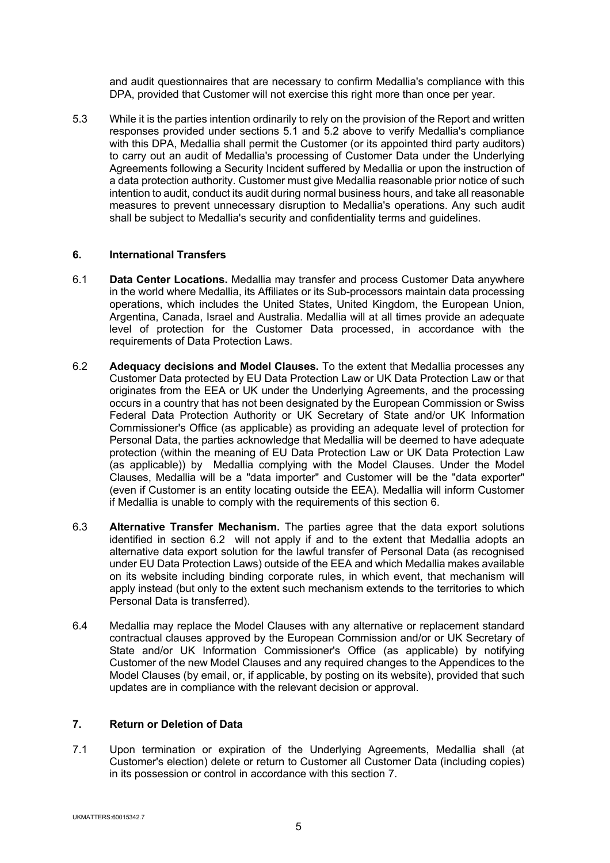and audit questionnaires that are necessary to confirm Medallia's compliance with this DPA, provided that Customer will not exercise this right more than once per year.

5.3 While it is the parties intention ordinarily to rely on the provision of the Report and written responses provided under sections 5.1 and 5.2 above to verify Medallia's compliance with this DPA, Medallia shall permit the Customer (or its appointed third party auditors) to carry out an audit of Medallia's processing of Customer Data under the Underlying Agreements following a Security Incident suffered by Medallia or upon the instruction of a data protection authority. Customer must give Medallia reasonable prior notice of such intention to audit, conduct its audit during normal business hours, and take all reasonable measures to prevent unnecessary disruption to Medallia's operations. Any such audit shall be subject to Medallia's security and confidentiality terms and guidelines.

### **6. International Transfers**

- 6.1 **Data Center Locations.** Medallia may transfer and process Customer Data anywhere in the world where Medallia, its Affiliates or its Sub-processors maintain data processing operations, which includes the United States, United Kingdom, the European Union, Argentina, Canada, Israel and Australia. Medallia will at all times provide an adequate level of protection for the Customer Data processed, in accordance with the requirements of Data Protection Laws.
- 6.2 **Adequacy decisions and Model Clauses.** To the extent that Medallia processes any Customer Data protected by EU Data Protection Law or UK Data Protection Law or that originates from the EEA or UK under the Underlying Agreements, and the processing occurs in a country that has not been designated by the European Commission or Swiss Federal Data Protection Authority or UK Secretary of State and/or UK Information Commissioner's Office (as applicable) as providing an adequate level of protection for Personal Data, the parties acknowledge that Medallia will be deemed to have adequate protection (within the meaning of EU Data Protection Law or UK Data Protection Law (as applicable)) by Medallia complying with the Model Clauses. Under the Model Clauses, Medallia will be a "data importer" and Customer will be the "data exporter" (even if Customer is an entity locating outside the EEA). Medallia will inform Customer if Medallia is unable to comply with the requirements of this section 6.
- 6.3 **Alternative Transfer Mechanism.** The parties agree that the data export solutions identified in section 6.2 will not apply if and to the extent that Medallia adopts an alternative data export solution for the lawful transfer of Personal Data (as recognised under EU Data Protection Laws) outside of the EEA and which Medallia makes available on its website including binding corporate rules, in which event, that mechanism will apply instead (but only to the extent such mechanism extends to the territories to which Personal Data is transferred).
- 6.4 Medallia may replace the Model Clauses with any alternative or replacement standard contractual clauses approved by the European Commission and/or or UK Secretary of State and/or UK Information Commissioner's Office (as applicable) by notifying Customer of the new Model Clauses and any required changes to the Appendices to the Model Clauses (by email, or, if applicable, by posting on its website), provided that such updates are in compliance with the relevant decision or approval.

# **7. Return or Deletion of Data**

7.1 Upon termination or expiration of the Underlying Agreements, Medallia shall (at Customer's election) delete or return to Customer all Customer Data (including copies) in its possession or control in accordance with this section 7.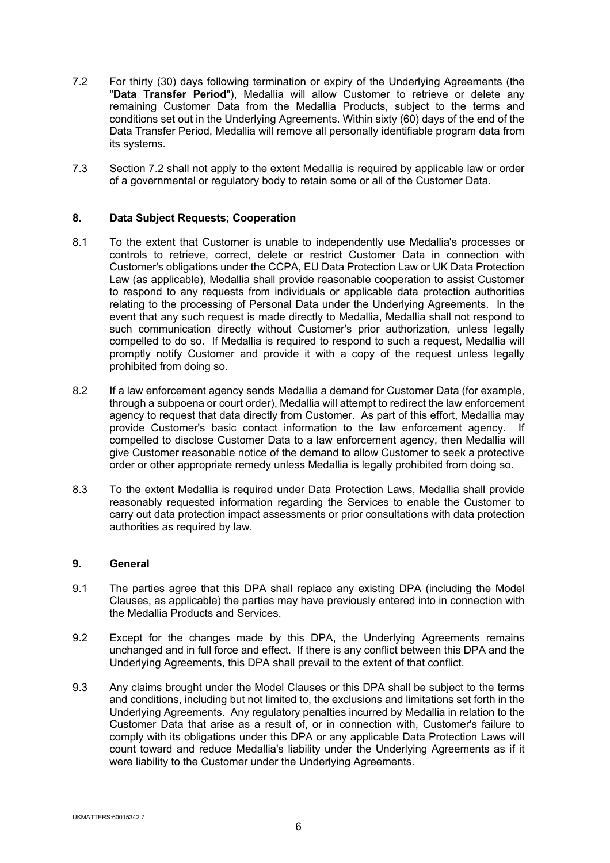- 7.2 For thirty (30) days following termination or expiry of the Underlying Agreements (the "**Data Transfer Period**"), Medallia will allow Customer to retrieve or delete any remaining Customer Data from the Medallia Products, subject to the terms and conditions set out in the Underlying Agreements. Within sixty (60) days of the end of the Data Transfer Period, Medallia will remove all personally identifiable program data from its systems.
- 7.3 Section 7.2 shall not apply to the extent Medallia is required by applicable law or order of a governmental or regulatory body to retain some or all of the Customer Data.

### **8. Data Subject Requests; Cooperation**

- 8.1 To the extent that Customer is unable to independently use Medallia's processes or controls to retrieve, correct, delete or restrict Customer Data in connection with Customer's obligations under the CCPA, EU Data Protection Law or UK Data Protection Law (as applicable), Medallia shall provide reasonable cooperation to assist Customer to respond to any requests from individuals or applicable data protection authorities relating to the processing of Personal Data under the Underlying Agreements. In the event that any such request is made directly to Medallia, Medallia shall not respond to such communication directly without Customer's prior authorization, unless legally compelled to do so. If Medallia is required to respond to such a request, Medallia will promptly notify Customer and provide it with a copy of the request unless legally prohibited from doing so.
- 8.2 If a law enforcement agency sends Medallia a demand for Customer Data (for example, through a subpoena or court order), Medallia will attempt to redirect the law enforcement agency to request that data directly from Customer. As part of this effort, Medallia may provide Customer's basic contact information to the law enforcement agency. If compelled to disclose Customer Data to a law enforcement agency, then Medallia will give Customer reasonable notice of the demand to allow Customer to seek a protective order or other appropriate remedy unless Medallia is legally prohibited from doing so.
- 8.3 To the extent Medallia is required under Data Protection Laws, Medallia shall provide reasonably requested information regarding the Services to enable the Customer to carry out data protection impact assessments or prior consultations with data protection authorities as required by law.

#### **9. General**

- 9.1 The parties agree that this DPA shall replace any existing DPA (including the Model Clauses, as applicable) the parties may have previously entered into in connection with the Medallia Products and Services.
- 9.2 Except for the changes made by this DPA, the Underlying Agreements remains unchanged and in full force and effect. If there is any conflict between this DPA and the Underlying Agreements, this DPA shall prevail to the extent of that conflict.
- 9.3 Any claims brought under the Model Clauses or this DPA shall be subject to the terms and conditions, including but not limited to, the exclusions and limitations set forth in the Underlying Agreements. Any regulatory penalties incurred by Medallia in relation to the Customer Data that arise as a result of, or in connection with, Customer's failure to comply with its obligations under this DPA or any applicable Data Protection Laws will count toward and reduce Medallia's liability under the Underlying Agreements as if it were liability to the Customer under the Underlying Agreements.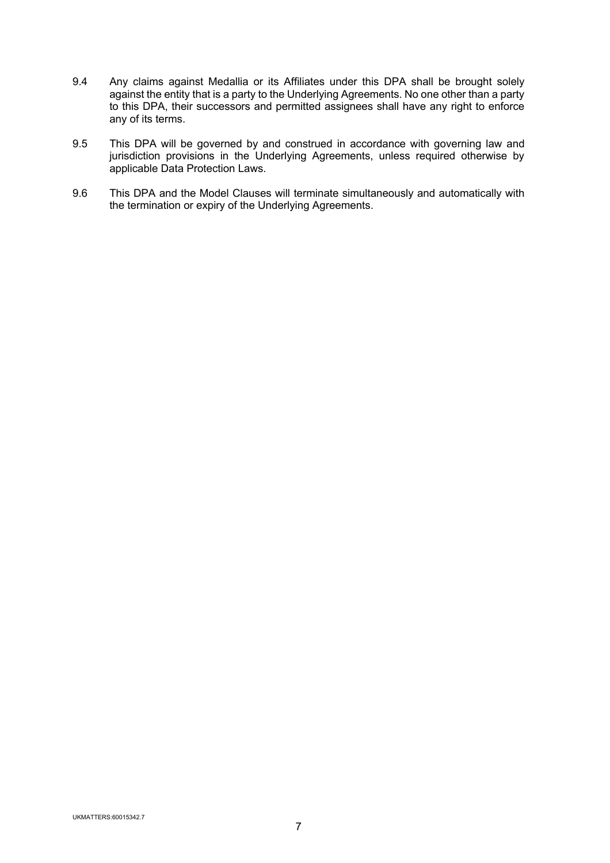- 9.4 Any claims against Medallia or its Affiliates under this DPA shall be brought solely against the entity that is a party to the Underlying Agreements. No one other than a party to this DPA, their successors and permitted assignees shall have any right to enforce any of its terms.
- 9.5 This DPA will be governed by and construed in accordance with governing law and jurisdiction provisions in the Underlying Agreements, unless required otherwise by applicable Data Protection Laws.
- 9.6 This DPA and the Model Clauses will terminate simultaneously and automatically with the termination or expiry of the Underlying Agreements.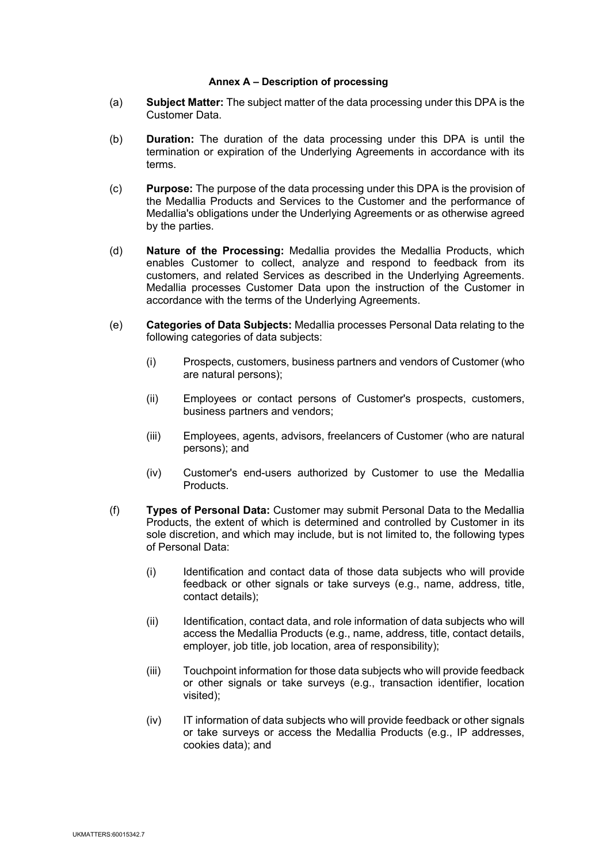#### **Annex A – Description of processing**

- (a) **Subject Matter:** The subject matter of the data processing under this DPA is the Customer Data.
- (b) **Duration:** The duration of the data processing under this DPA is until the termination or expiration of the Underlying Agreements in accordance with its terms.
- (c) **Purpose:** The purpose of the data processing under this DPA is the provision of the Medallia Products and Services to the Customer and the performance of Medallia's obligations under the Underlying Agreements or as otherwise agreed by the parties.
- (d) **Nature of the Processing:** Medallia provides the Medallia Products, which enables Customer to collect, analyze and respond to feedback from its customers, and related Services as described in the Underlying Agreements. Medallia processes Customer Data upon the instruction of the Customer in accordance with the terms of the Underlying Agreements.
- (e) **Categories of Data Subjects:** Medallia processes Personal Data relating to the following categories of data subjects:
	- (i) Prospects, customers, business partners and vendors of Customer (who are natural persons);
	- (ii) Employees or contact persons of Customer's prospects, customers, business partners and vendors;
	- (iii) Employees, agents, advisors, freelancers of Customer (who are natural persons); and
	- (iv) Customer's end-users authorized by Customer to use the Medallia Products.
- (f) **Types of Personal Data:** Customer may submit Personal Data to the Medallia Products, the extent of which is determined and controlled by Customer in its sole discretion, and which may include, but is not limited to, the following types of Personal Data:
	- (i) Identification and contact data of those data subjects who will provide feedback or other signals or take surveys (e.g., name, address, title, contact details);
	- (ii) Identification, contact data, and role information of data subjects who will access the Medallia Products (e.g., name, address, title, contact details, employer, job title, job location, area of responsibility);
	- (iii) Touchpoint information for those data subjects who will provide feedback or other signals or take surveys (e.g., transaction identifier, location visited);
	- (iv) IT information of data subjects who will provide feedback or other signals or take surveys or access the Medallia Products (e.g., IP addresses, cookies data); and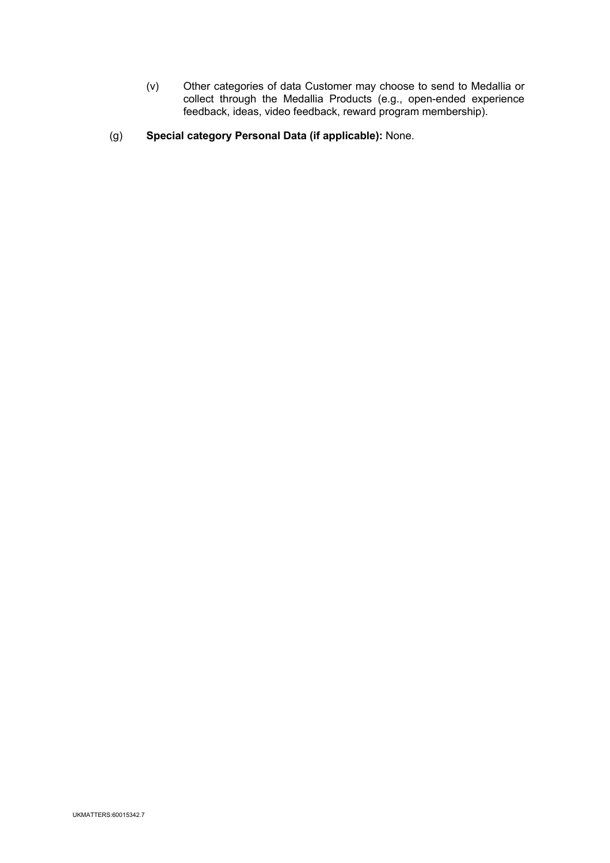- (v) Other categories of data Customer may choose to send to Medallia or collect through the Medallia Products (e.g., open-ended experience feedback, ideas, video feedback, reward program membership).
- (g) **Special category Personal Data (if applicable):** None.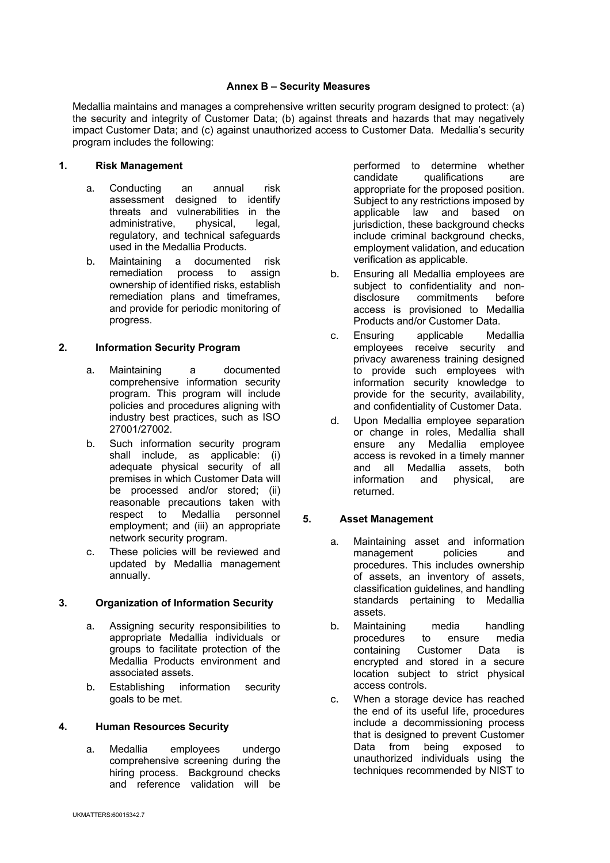#### **Annex B – Security Measures**

Medallia maintains and manages a comprehensive written security program designed to protect: (a) the security and integrity of Customer Data; (b) against threats and hazards that may negatively impact Customer Data; and (c) against unauthorized access to Customer Data. Medallia's security program includes the following:

# **1. Risk Management**

- a. Conducting an annual risk assessment designed to identify threats and vulnerabilities in the administrative, physical, legal, regulatory, and technical safeguards used in the Medallia Products.
- b. Maintaining a documented risk remediation process to assign ownership of identified risks, establish remediation plans and timeframes, and provide for periodic monitoring of progress.

## **2. Information Security Program**

- a. Maintaining a documented comprehensive information security program. This program will include policies and procedures aligning with industry best practices, such as ISO 27001/27002.
- b. Such information security program shall include, as applicable: (i) adequate physical security of all premises in which Customer Data will be processed and/or stored; (ii) reasonable precautions taken with respect to Medallia personnel employment; and (iii) an appropriate network security program.
- c. These policies will be reviewed and updated by Medallia management annually.

## **3. Organization of Information Security**

- a. Assigning security responsibilities to appropriate Medallia individuals or groups to facilitate protection of the Medallia Products environment and associated assets.
- b. Establishing information security goals to be met.

#### **4. Human Resources Security**

a. Medallia employees undergo comprehensive screening during the hiring process. Background checks and reference validation will be

performed to determine whether candidate qualifications are appropriate for the proposed position. Subject to any restrictions imposed by applicable law and based on jurisdiction, these background checks include criminal background checks, employment validation, and education verification as applicable.

- b. Ensuring all Medallia employees are subject to confidentiality and non-<br>disclosure commitments before commitments before access is provisioned to Medallia Products and/or Customer Data.
- c. Ensuring applicable Medallia employees receive security and privacy awareness training designed to provide such employees with information security knowledge to provide for the security, availability, and confidentiality of Customer Data.
- d. Upon Medallia employee separation or change in roles, Medallia shall ensure any Medallia employee access is revoked in a timely manner and all Medallia assets, both information and physical, are returned.

## **5. Asset Management**

- a. Maintaining asset and information management policies and procedures. This includes ownership of assets, an inventory of assets, classification guidelines, and handling standards pertaining to Medallia assets.
- b. Maintaining media handling procedures to ensure media containing Customer Data is encrypted and stored in a secure location subject to strict physical access controls.
- c. When a storage device has reached the end of its useful life, procedures include a decommissioning process that is designed to prevent Customer Data from being exposed to unauthorized individuals using the techniques recommended by NIST to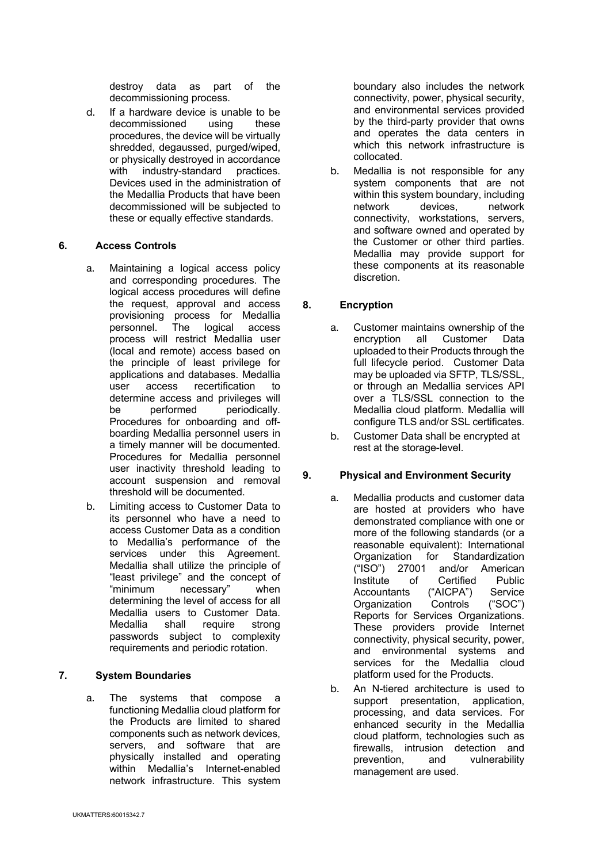destroy data as part of the decommissioning process.

d. If a hardware device is unable to be decommissioned using these procedures, the device will be virtually shredded, degaussed, purged/wiped, or physically destroyed in accordance with industry-standard practices. Devices used in the administration of the Medallia Products that have been decommissioned will be subjected to these or equally effective standards.

### **6. Access Controls**

- a. Maintaining a logical access policy and corresponding procedures. The logical access procedures will define the request, approval and access provisioning process for Medallia personnel. The logical access process will restrict Medallia user (local and remote) access based on the principle of least privilege for applications and databases. Medallia user access recertification to determine access and privileges will<br>be performed periodically. be performed periodically. Procedures for onboarding and offboarding Medallia personnel users in a timely manner will be documented. Procedures for Medallia personnel user inactivity threshold leading to account suspension and removal threshold will be documented.
- b. Limiting access to Customer Data to its personnel who have a need to access Customer Data as a condition to Medallia's performance of the services under this Agreement. Medallia shall utilize the principle of "least privilege" and the concept of "minimum necessary" when determining the level of access for all Medallia users to Customer Data. Medallia shall require strong passwords subject to complexity requirements and periodic rotation.

## **7. System Boundaries**

a. The systems that compose a functioning Medallia cloud platform for the Products are limited to shared components such as network devices, servers, and software that are physically installed and operating within Medallia's Internet-enabled network infrastructure. This system

boundary also includes the network connectivity, power, physical security, and environmental services provided by the third-party provider that owns and operates the data centers in which this network infrastructure is collocated.

b. Medallia is not responsible for any system components that are not within this system boundary, including network devices, network connectivity, workstations, servers, and software owned and operated by the Customer or other third parties. Medallia may provide support for these components at its reasonable discretion.

## **8. Encryption**

- a. Customer maintains ownership of the encryption all Customer Data uploaded to their Products through the full lifecycle period. Customer Data may be uploaded via SFTP, TLS/SSL, or through an Medallia services API over a TLS/SSL connection to the Medallia cloud platform. Medallia will configure TLS and/or SSL certificates.
- b. Customer Data shall be encrypted at rest at the storage-level.

## **9. Physical and Environment Security**

- a. Medallia products and customer data are hosted at providers who have demonstrated compliance with one or more of the following standards (or a reasonable equivalent): International Organization for Standardization ("ISO") 27001 and/or American Institute of Certified Public<br>Accountants ("AICPA") Service Accountants ("AICPA") Service Organization Controls ("SOC") Reports for Services Organizations. These providers provide Internet connectivity, physical security, power, and environmental systems and services for the Medallia cloud platform used for the Products.
- b. An N-tiered architecture is used to support presentation, application, processing, and data services. For enhanced security in the Medallia cloud platform, technologies such as firewalls, intrusion detection and prevention, and vulnerability management are used.